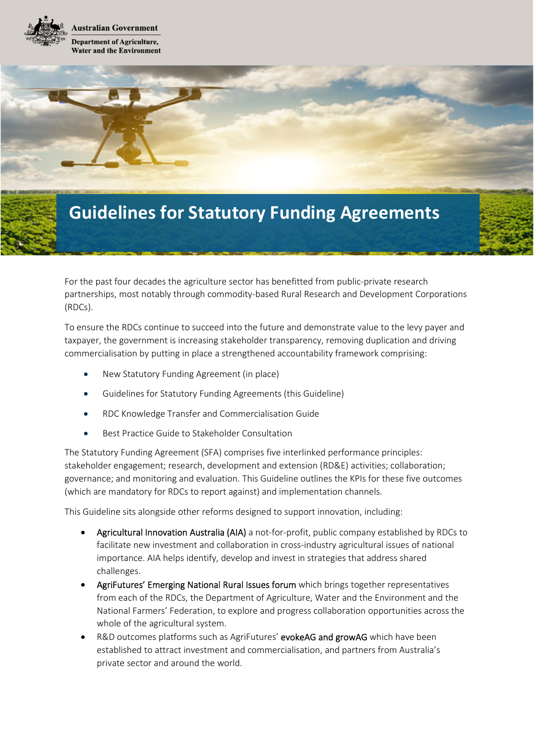



For the past four decades the agriculture sector has benefitted from public-private research partnerships, most notably through commodity-based Rural Research and Development Corporations (RDCs).

To ensure the RDCs continue to succeed into the future and demonstrate value to the levy payer and taxpayer, the government is increasing stakeholder transparency, removing duplication and driving commercialisation by putting in place a strengthened accountability framework comprising:

- New Statutory Funding Agreement (in place)
- Guidelines for Statutory Funding Agreements (this Guideline)
- RDC Knowledge Transfer and Commercialisation Guide
- Best Practice Guide to Stakeholder Consultation

The Statutory Funding Agreement (SFA) comprises five interlinked performance principles: stakeholder engagement; research, development and extension (RD&E) activities; collaboration; governance; and monitoring and evaluation. This Guideline outlines the KPIs for these five outcomes (which are mandatory for RDCs to report against) and implementation channels.

This Guideline sits alongside other reforms designed to support innovation, including:

- Agricultural Innovation Australia (AIA) a not-for-profit, public company established by RDCs to facilitate new investment and collaboration in cross-industry agricultural issues of national importance. AIA helps identify, develop and invest in strategies that address shared challenges.
- AgriFutures' Emerging National Rural Issues forum which brings together representatives from each of the RDCs, the Department of Agriculture, Water and the Environment and the National Farmers' Federation, to explore and progress collaboration opportunities across the whole of the agricultural system.
- R&D outcomes platforms such as AgriFutures' evokeAG and growAG which have been established to attract investment and commercialisation, and partners from Australia's private sector and around the world.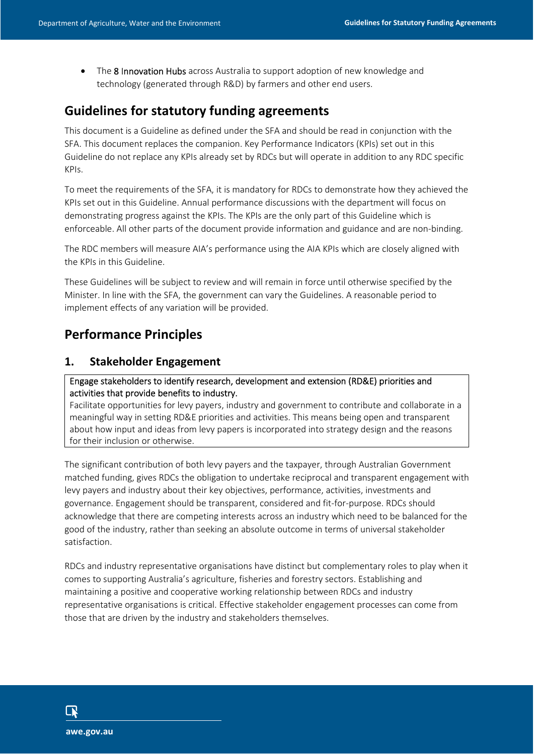• The 8 Innovation Hubs across Australia to support adoption of new knowledge and technology (generated through R&D) by farmers and other end users.

I

# **Guidelines for statutory funding agreements**

This document is a Guideline as defined under the SFA and should be read in conjunction with the SFA. This document replaces the companion. Key Performance Indicators (KPIs) set out in this Guideline do not replace any KPIs already set by RDCs but will operate in addition to any RDC specific KPIs.

To meet the requirements of the SFA, it is mandatory for RDCs to demonstrate how they achieved the KPIs set out in this Guideline. Annual performance discussions with the department will focus on demonstrating progress against the KPIs. The KPIs are the only part of this Guideline which is enforceable. All other parts of the document provide information and guidance and are non-binding.

The RDC members will measure AIA's performance using the AIA KPIs which are closely aligned with the KPIs in this Guideline.

These Guidelines will be subject to review and will remain in force until otherwise specified by the Minister. In line with the SFA, the government can vary the Guidelines. A reasonable period to implement effects of any variation will be provided.

# **Performance Principles**

## **1. Stakeholder Engagement**

#### Engage stakeholders to identify research, development and extension (RD&E) priorities and activities that provide benefits to industry.

Facilitate opportunities for levy payers, industry and government to contribute and collaborate in a meaningful way in setting RD&E priorities and activities. This means being open and transparent about how input and ideas from levy papers is incorporated into strategy design and the reasons for their inclusion or otherwise.

The significant contribution of both levy payers and the taxpayer, through Australian Government matched funding, gives RDCs the obligation to undertake reciprocal and transparent engagement with levy payers and industry about their key objectives, performance, activities, investments and governance. Engagement should be transparent, considered and fit-for-purpose. RDCs should acknowledge that there are competing interests across an industry which need to be balanced for the good of the industry, rather than seeking an absolute outcome in terms of universal stakeholder satisfaction.

RDCs and industry representative organisations have distinct but complementary roles to play when it comes to supporting Australia's agriculture, fisheries and forestry sectors. Establishing and maintaining a positive and cooperative working relationship between RDCs and industry representative organisations is critical. Effective stakeholder engagement processes can come from those that are driven by the industry and stakeholders themselves.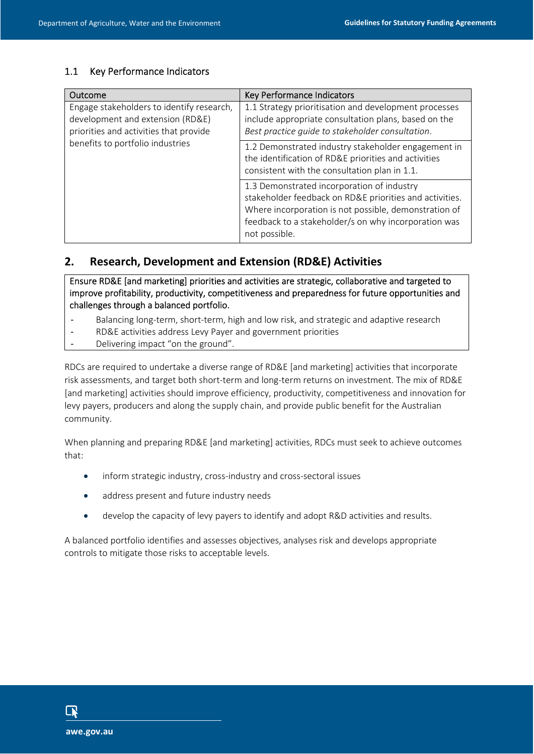| Outcome                                                                                                                                                     | Key Performance Indicators                                                                                                                                                                                                              |
|-------------------------------------------------------------------------------------------------------------------------------------------------------------|-----------------------------------------------------------------------------------------------------------------------------------------------------------------------------------------------------------------------------------------|
| Engage stakeholders to identify research,<br>development and extension (RD&E)<br>priorities and activities that provide<br>benefits to portfolio industries | 1.1 Strategy prioritisation and development processes<br>include appropriate consultation plans, based on the<br>Best practice guide to stakeholder consultation.                                                                       |
|                                                                                                                                                             | 1.2 Demonstrated industry stakeholder engagement in<br>the identification of RD&E priorities and activities<br>consistent with the consultation plan in 1.1.                                                                            |
|                                                                                                                                                             | 1.3 Demonstrated incorporation of industry<br>stakeholder feedback on RD&E priorities and activities.<br>Where incorporation is not possible, demonstration of<br>feedback to a stakeholder/s on why incorporation was<br>not possible. |

I

# **2. Research, Development and Extension (RD&E) Activities**

Ensure RD&E [and marketing] priorities and activities are strategic, collaborative and targeted to improve profitability, productivity, competitiveness and preparedness for future opportunities and challenges through a balanced portfolio.

- Balancing long-term, short-term, high and low risk, and strategic and adaptive research
- RD&E activities address Levy Payer and government priorities
- Delivering impact "on the ground".

RDCs are required to undertake a diverse range of RD&E [and marketing] activities that incorporate risk assessments, and target both short-term and long-term returns on investment. The mix of RD&E [and marketing] activities should improve efficiency, productivity, competitiveness and innovation for levy payers, producers and along the supply chain, and provide public benefit for the Australian community.

When planning and preparing RD&E [and marketing] activities, RDCs must seek to achieve outcomes that:

- inform strategic industry, cross-industry and cross-sectoral issues
- address present and future industry needs
- develop the capacity of levy payers to identify and adopt R&D activities and results.

A balanced portfolio identifies and assesses objectives, analyses risk and develops appropriate controls to mitigate those risks to acceptable levels.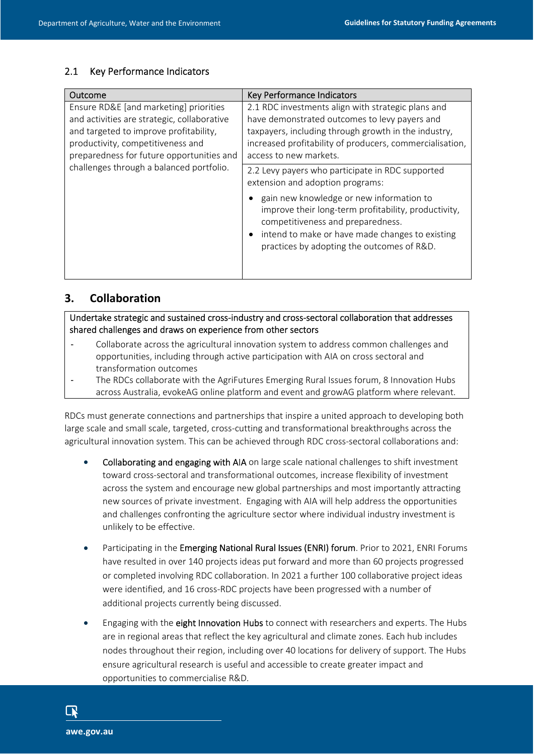| Outcome                                                                                                                                                                                                                                                       | Key Performance Indicators                                                                                                                                                                                                                                                                                                     |
|---------------------------------------------------------------------------------------------------------------------------------------------------------------------------------------------------------------------------------------------------------------|--------------------------------------------------------------------------------------------------------------------------------------------------------------------------------------------------------------------------------------------------------------------------------------------------------------------------------|
| Ensure RD&E [and marketing] priorities<br>and activities are strategic, collaborative<br>and targeted to improve profitability,<br>productivity, competitiveness and<br>preparedness for future opportunities and<br>challenges through a balanced portfolio. | 2.1 RDC investments align with strategic plans and<br>have demonstrated outcomes to levy payers and<br>taxpayers, including through growth in the industry,<br>increased profitability of producers, commercialisation,<br>access to new markets.                                                                              |
|                                                                                                                                                                                                                                                               | 2.2 Levy payers who participate in RDC supported<br>extension and adoption programs:<br>gain new knowledge or new information to<br>improve their long-term profitability, productivity,<br>competitiveness and preparedness.<br>intend to make or have made changes to existing<br>practices by adopting the outcomes of R&D. |

I

# **3. Collaboration**

Undertake strategic and sustained cross-industry and cross-sectoral collaboration that addresses shared challenges and draws on experience from other sectors

- Collaborate across the agricultural innovation system to address common challenges and opportunities, including through active participation with AIA on cross sectoral and transformation outcomes
- The RDCs collaborate with the AgriFutures Emerging Rural Issues forum, 8 Innovation Hubs across Australia, evokeAG online platform and event and growAG platform where relevant.

RDCs must generate connections and partnerships that inspire a united approach to developing both large scale and small scale, targeted, cross-cutting and transformational breakthroughs across the agricultural innovation system. This can be achieved through RDC cross-sectoral collaborations and:

- Collaborating and engaging with AIA on large scale national challenges to shift investment toward cross-sectoral and transformational outcomes, increase flexibility of investment across the system and encourage new global partnerships and most importantly attracting new sources of private investment. Engaging with AIA will help address the opportunities and challenges confronting the agriculture sector where individual industry investment is unlikely to be effective.
- Participating in the Emerging National Rural Issues (ENRI) forum. Prior to 2021, ENRI Forums have resulted in over 140 projects ideas put forward and more than 60 projects progressed or completed involving RDC collaboration. In 2021 a further 100 collaborative project ideas were identified, and 16 cross-RDC projects have been progressed with a number of additional projects currently being discussed.
- Engaging with the eight Innovation Hubs to connect with researchers and experts. The Hubs are in regional areas that reflect the key agricultural and climate zones. Each hub includes nodes throughout their region, including over 40 locations for delivery of support. The Hubs ensure agricultural research is useful and accessible to create greater impact and opportunities to commercialise R&D.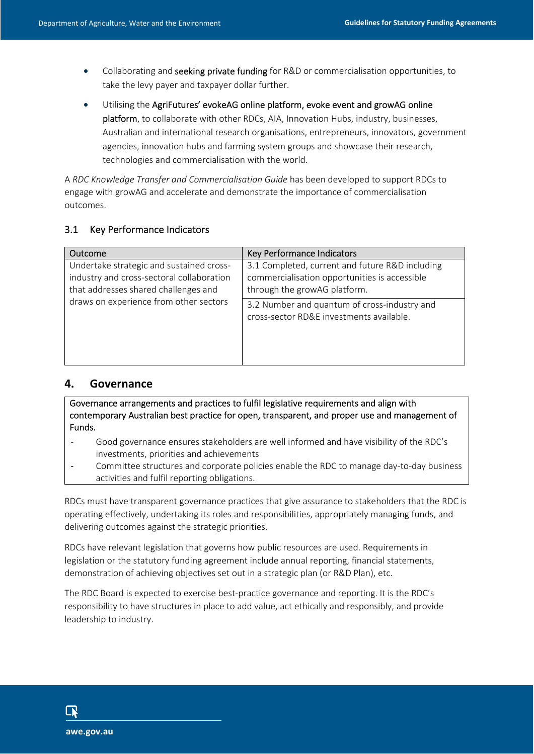• Collaborating and seeking private funding for R&D or commercialisation opportunities, to take the levy payer and taxpayer dollar further.

I

 Utilising the AgriFutures' evokeAG online platform, evoke event and growAG online platform, to collaborate with other RDCs, AIA, Innovation Hubs, industry, businesses, Australian and international research organisations, entrepreneurs, innovators, government agencies, innovation hubs and farming system groups and showcase their research, technologies and commercialisation with the world.

A *RDC Knowledge Transfer and Commercialisation Guide* has been developed to support RDCs to engage with growAG and accelerate and demonstrate the importance of commercialisation outcomes.

#### 3.1 Key Performance Indicators

| Outcome                                                                                                                                                                 | Key Performance Indicators                                                                                                       |
|-------------------------------------------------------------------------------------------------------------------------------------------------------------------------|----------------------------------------------------------------------------------------------------------------------------------|
| Undertake strategic and sustained cross-<br>industry and cross-sectoral collaboration<br>that addresses shared challenges and<br>draws on experience from other sectors | 3.1 Completed, current and future R&D including<br>commercialisation opportunities is accessible<br>through the growAG platform. |
|                                                                                                                                                                         | 3.2 Number and quantum of cross-industry and<br>cross-sector RD&E investments available.                                         |

## **4. Governance**

Governance arrangements and practices to fulfil legislative requirements and align with contemporary Australian best practice for open, transparent, and proper use and management of Funds.

- Good governance ensures stakeholders are well informed and have visibility of the RDC's investments, priorities and achievements
- Committee structures and corporate policies enable the RDC to manage day-to-day business activities and fulfil reporting obligations.

RDCs must have transparent governance practices that give assurance to stakeholders that the RDC is operating effectively, undertaking its roles and responsibilities, appropriately managing funds, and delivering outcomes against the strategic priorities.

RDCs have relevant legislation that governs how public resources are used. Requirements in legislation or the statutory funding agreement include annual reporting, financial statements, demonstration of achieving objectives set out in a strategic plan (or R&D Plan), etc.

The RDC Board is expected to exercise best-practice governance and reporting. It is the RDC's responsibility to have structures in place to add value, act ethically and responsibly, and provide leadership to industry.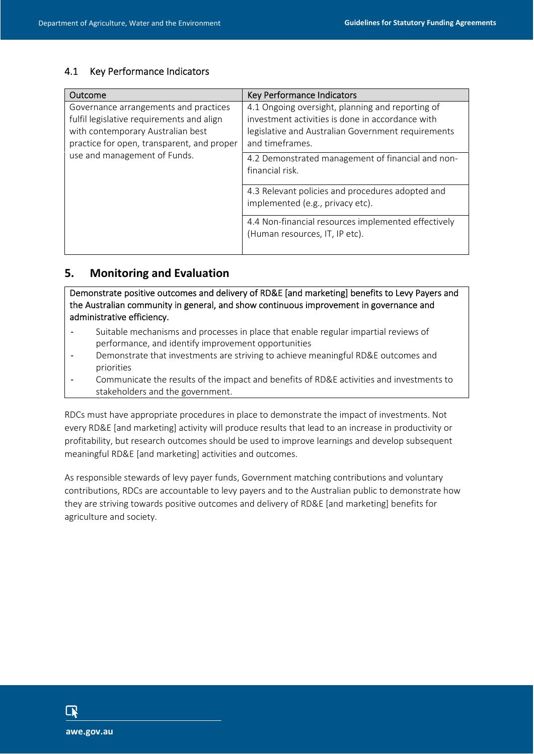| Outcome                                                                                                                                                                                               | Key Performance Indicators                                                                                                                                                    |
|-------------------------------------------------------------------------------------------------------------------------------------------------------------------------------------------------------|-------------------------------------------------------------------------------------------------------------------------------------------------------------------------------|
| Governance arrangements and practices<br>fulfil legislative requirements and align<br>with contemporary Australian best<br>practice for open, transparent, and proper<br>use and management of Funds. | 4.1 Ongoing oversight, planning and reporting of<br>investment activities is done in accordance with<br>legislative and Australian Government requirements<br>and timeframes. |
|                                                                                                                                                                                                       | 4.2 Demonstrated management of financial and non-<br>financial risk.                                                                                                          |
|                                                                                                                                                                                                       | 4.3 Relevant policies and procedures adopted and<br>implemented (e.g., privacy etc).                                                                                          |
|                                                                                                                                                                                                       | 4.4 Non-financial resources implemented effectively<br>(Human resources, IT, IP etc).                                                                                         |

I

# **5. Monitoring and Evaluation**

Demonstrate positive outcomes and delivery of RD&E [and marketing] benefits to Levy Payers and the Australian community in general, and show continuous improvement in governance and administrative efficiency.

- Suitable mechanisms and processes in place that enable regular impartial reviews of performance, and identify improvement opportunities
- Demonstrate that investments are striving to achieve meaningful RD&E outcomes and priorities
- Communicate the results of the impact and benefits of RD&E activities and investments to stakeholders and the government.

RDCs must have appropriate procedures in place to demonstrate the impact of investments. Not every RD&E [and marketing] activity will produce results that lead to an increase in productivity or profitability, but research outcomes should be used to improve learnings and develop subsequent meaningful RD&E [and marketing] activities and outcomes.

As responsible stewards of levy payer funds, Government matching contributions and voluntary contributions, RDCs are accountable to levy payers and to the Australian public to demonstrate how they are striving towards positive outcomes and delivery of RD&E [and marketing] benefits for agriculture and society.